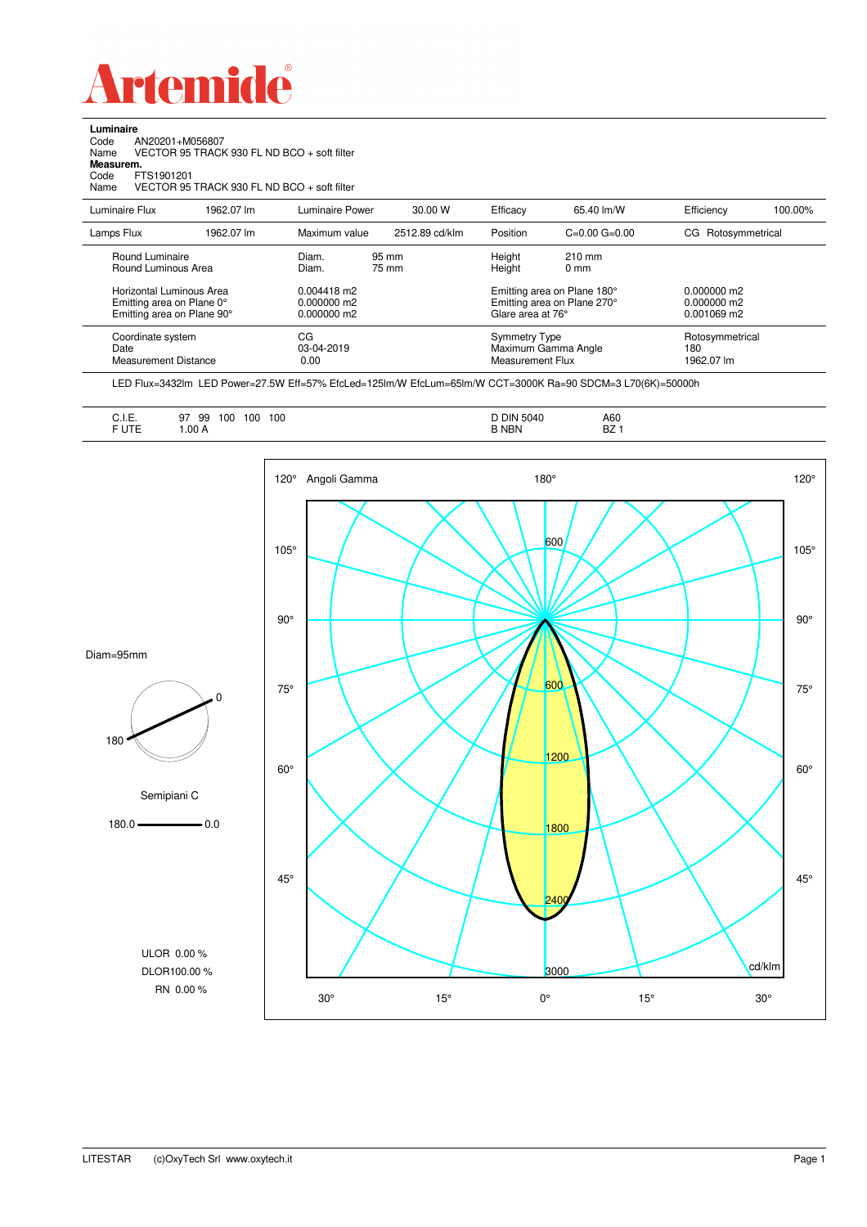

**Luminaire**

| Code<br>AN20201+M056807<br>VECTOR 95 TRACK 930 FL ND BCO + soft filter<br>Name<br>Measurem.<br>Code<br>FTS1901201<br>VECTOR 95 TRACK 930 FL ND BCO + soft filter<br>Name |            |                                             |                |                                                                                 |                                                                 |                                               |                                      |  |
|--------------------------------------------------------------------------------------------------------------------------------------------------------------------------|------------|---------------------------------------------|----------------|---------------------------------------------------------------------------------|-----------------------------------------------------------------|-----------------------------------------------|--------------------------------------|--|
| Luminaire Flux                                                                                                                                                           | 1962.07 lm | Luminaire Power                             | 30.00 W        | Efficacy                                                                        | 65.40 lm/W                                                      | Efficiency                                    | 100.00%                              |  |
| Lamps Flux                                                                                                                                                               | 1962.07 lm | Maximum value                               | 2512.89 cd/klm | Position                                                                        | $C=0.00$ $G=0.00$                                               | Rotosymmetrical<br>CG.                        |                                      |  |
| Round Luminaire<br>Round Luminous Area                                                                                                                                   |            | Diam.<br>Diam.                              | 95 mm<br>75 mm |                                                                                 | $210$ mm<br>0 <sub>mm</sub>                                     |                                               |                                      |  |
| Horizontal Luminous Area<br>Emitting area on Plane 0°<br>Emitting area on Plane 90°                                                                                      |            | $0.004418$ m2<br>0.000000 m2<br>0.000000 m2 |                | Emitting area on Plane 180°<br>Emitting area on Plane 270°<br>Glare area at 76° |                                                                 | $0.000000$ m2<br>0.000000 m2<br>$0.001069$ m2 |                                      |  |
| Coordinate system<br>Date<br>Measurement Distance                                                                                                                        |            | CG<br>03-04-2019<br>0.00                    |                |                                                                                 | <b>Symmetry Type</b><br>Maximum Gamma Angle<br>Measurement Flux |                                               | Rotosymmetrical<br>180<br>1962.07 lm |  |

LED Flux=3432lm LED Power=27.5W Eff=57% EfcLed=125lm/W EfcLum=65lm/W CCT=3000K Ra=90 SDCM=3 L70(6K)=50000h

| A60<br>BZ |  |
|-----------|--|
|-----------|--|